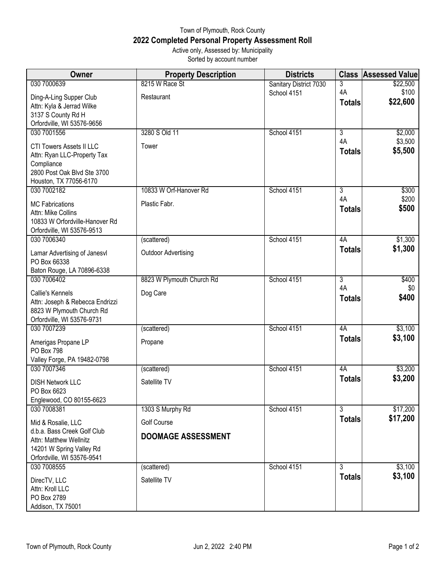## Town of Plymouth, Rock County **2022 Completed Personal Property Assessment Roll** Active only, Assessed by: Municipality

Sorted by account number

| Owner                                                  | <b>Property Description</b> | <b>Districts</b>       |                      | <b>Class Assessed Value</b> |
|--------------------------------------------------------|-----------------------------|------------------------|----------------------|-----------------------------|
| 030 7000639                                            | 8215 W Race St              | Sanitary District 7030 | 3                    | \$22,500                    |
| Ding-A-Ling Supper Club                                | Restaurant                  | School 4151            | 4A                   | \$100                       |
| Attn: Kyla & Jerrad Wilke                              |                             |                        | <b>Totals</b>        | \$22,600                    |
| 3137 S County Rd H                                     |                             |                        |                      |                             |
| Orfordville, WI 53576-9656                             |                             |                        |                      |                             |
| 030 7001556                                            | 3280 S Old 11               | School 4151            | $\overline{3}$       | \$2,000                     |
| <b>CTI Towers Assets II LLC</b>                        | Tower                       |                        | 4A<br><b>Totals</b>  | \$3,500<br>\$5,500          |
| Attn: Ryan LLC-Property Tax                            |                             |                        |                      |                             |
| Compliance                                             |                             |                        |                      |                             |
| 2800 Post Oak Blvd Ste 3700<br>Houston, TX 77056-6170  |                             |                        |                      |                             |
| 030 7002182                                            | 10833 W Orf-Hanover Rd      | School 4151            | 3                    | \$300                       |
| <b>MC Fabrications</b>                                 | Plastic Fabr.               |                        | 4A                   | \$200                       |
| Attn: Mike Collins                                     |                             |                        | <b>Totals</b>        | \$500                       |
| 10833 W Orfordville-Hanover Rd                         |                             |                        |                      |                             |
| Orfordville, WI 53576-9513                             |                             |                        |                      |                             |
| 030 7006340                                            | (scattered)                 | School 4151            | 4A                   | \$1,300                     |
| Lamar Advertising of Janesvl                           | <b>Outdoor Advertising</b>  |                        | <b>Totals</b>        | \$1,300                     |
| PO Box 66338                                           |                             |                        |                      |                             |
| Baton Rouge, LA 70896-6338                             |                             |                        |                      |                             |
| 030 7006402                                            | 8823 W Plymouth Church Rd   | School 4151            | $\overline{3}$<br>4A | \$400                       |
| Callie's Kennels                                       | Dog Care                    |                        | <b>Totals</b>        | \$0<br>\$400                |
| Attn: Joseph & Rebecca Endrizzi                        |                             |                        |                      |                             |
| 8823 W Plymouth Church Rd                              |                             |                        |                      |                             |
| Orfordville, WI 53576-9731<br>030 7007239              | (scattered)                 | School 4151            | 4A                   | \$3,100                     |
|                                                        |                             |                        | <b>Totals</b>        | \$3,100                     |
| Amerigas Propane LP<br><b>PO Box 798</b>               | Propane                     |                        |                      |                             |
| Valley Forge, PA 19482-0798                            |                             |                        |                      |                             |
| 030 7007346                                            | (scattered)                 | School 4151            | 4A                   | \$3,200                     |
|                                                        | Satellite TV                |                        | <b>Totals</b>        | \$3,200                     |
| <b>DISH Network LLC</b><br>PO Box 6623                 |                             |                        |                      |                             |
| Englewood, CO 80155-6623                               |                             |                        |                      |                             |
| 030 7008381                                            | 1303 S Murphy Rd            | School 4151            | 3                    | \$17,200                    |
| Mid & Rosalie, LLC                                     | <b>Golf Course</b>          |                        | <b>Totals</b>        | \$17,200                    |
| d.b.a. Bass Creek Golf Club                            | <b>DOOMAGE ASSESSMENT</b>   |                        |                      |                             |
| Attn: Matthew Wellnitz                                 |                             |                        |                      |                             |
| 14201 W Spring Valley Rd<br>Orfordville, WI 53576-9541 |                             |                        |                      |                             |
| 030 7008555                                            | (scattered)                 | School 4151            | 3                    | \$3,100                     |
|                                                        | Satellite TV                |                        | <b>Totals</b>        | \$3,100                     |
| DirecTV, LLC<br>Attn: Kroll LLC                        |                             |                        |                      |                             |
| PO Box 2789                                            |                             |                        |                      |                             |
| Addison, TX 75001                                      |                             |                        |                      |                             |